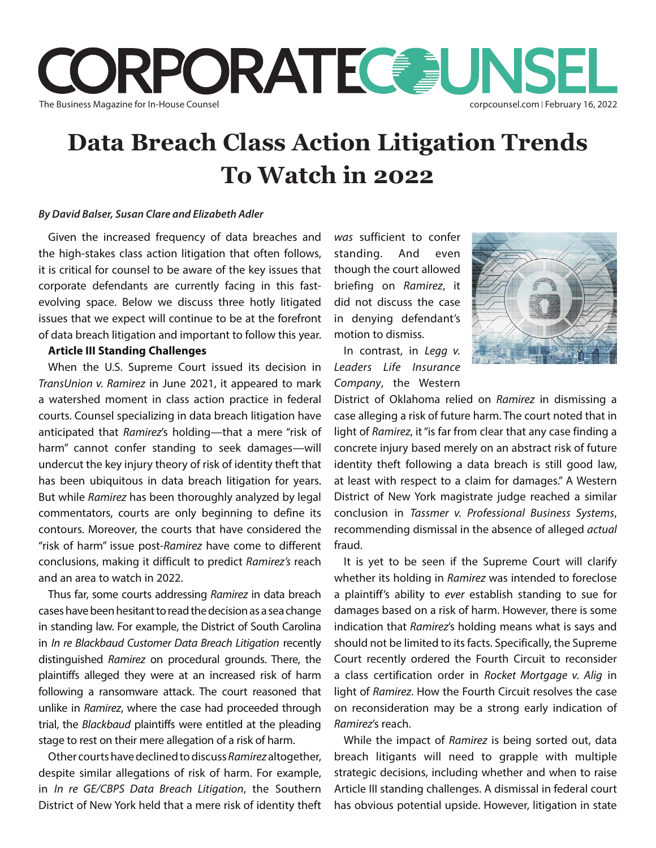

# **Data Breach Class Action Litigation Trends To Watch in 2022**

### *By David Balser, Susan Clare and Elizabeth Adler*

Given the increased frequency of data breaches and the high-stakes class action litigation that often follows, it is critical for counsel to be aware of the key issues that corporate defendants are currently facing in this fastevolving space. Below we discuss three hotly litigated issues that we expect will continue to be at the forefront of data breach litigation and important to follow this year.

### **Article III Standing Challenges**

When the U.S. Supreme Court issued its decision in *TransUnion v. Ramirez* in June 2021, it appeared to mark a watershed moment in class action practice in federal courts. Counsel specializing in data breach litigation have anticipated that *Ramirez*'s holding—that a mere "risk of harm" cannot confer standing to seek damages—will undercut the key injury theory of risk of identity theft that has been ubiquitous in data breach litigation for years. But while *Ramirez* has been thoroughly analyzed by legal commentators, courts are only beginning to define its contours. Moreover, the courts that have considered the "risk of harm" issue post-*Ramirez* have come to different conclusions, making it difficult to predict *Ramirez's* reach and an area to watch in 2022.

Thus far, some courts addressing *Ramirez* in data breach cases have been hesitant to read the decision as a sea change in standing law. For example, the District of South Carolina in *In re Blackbaud Customer Data Breach Litigation* recently distinguished *Ramirez* on procedural grounds. There, the plaintiffs alleged they were at an increased risk of harm following a ransomware attack. The court reasoned that unlike in *Ramirez*, where the case had proceeded through trial, the *Blackbaud* plaintiffs were entitled at the pleading stage to rest on their mere allegation of a risk of harm.

Other courts have declined to discuss *Ramirez* altogether, despite similar allegations of risk of harm. For example, in *In re GE/CBPS Data Breach Litigation*, the Southern District of New York held that a mere risk of identity theft *was* sufficient to confer standing. And even though the court allowed briefing on *Ramirez*, it did not discuss the case in denying defendant's motion to dismiss.

In contrast, in *Legg v. Leaders Life Insurance Company*, the Western



District of Oklahoma relied on *Ramirez* in dismissing a case alleging a risk of future harm. The court noted that in light of *Ramirez*, it "is far from clear that any case finding a concrete injury based merely on an abstract risk of future identity theft following a data breach is still good law, at least with respect to a claim for damages." A Western District of New York magistrate judge reached a similar conclusion in *Tassmer v. Professional Business Systems*, recommending dismissal in the absence of alleged *actual* fraud.

It is yet to be seen if the Supreme Court will clarify whether its holding in *Ramirez* was intended to foreclose a plaintiff's ability to *ever* establish standing to sue for damages based on a risk of harm. However, there is some indication that *Ramirez*'s holding means what is says and should not be limited to its facts. Specifically, the Supreme Court recently ordered the Fourth Circuit to reconsider a class certification order in *Rocket Mortgage v. Alig* in light of *Ramirez*. How the Fourth Circuit resolves the case on reconsideration may be a strong early indication of *Ramirez*'s reach.

While the impact of *Ramirez* is being sorted out, data breach litigants will need to grapple with multiple strategic decisions, including whether and when to raise Article III standing challenges. A dismissal in federal court has obvious potential upside. However, litigation in state